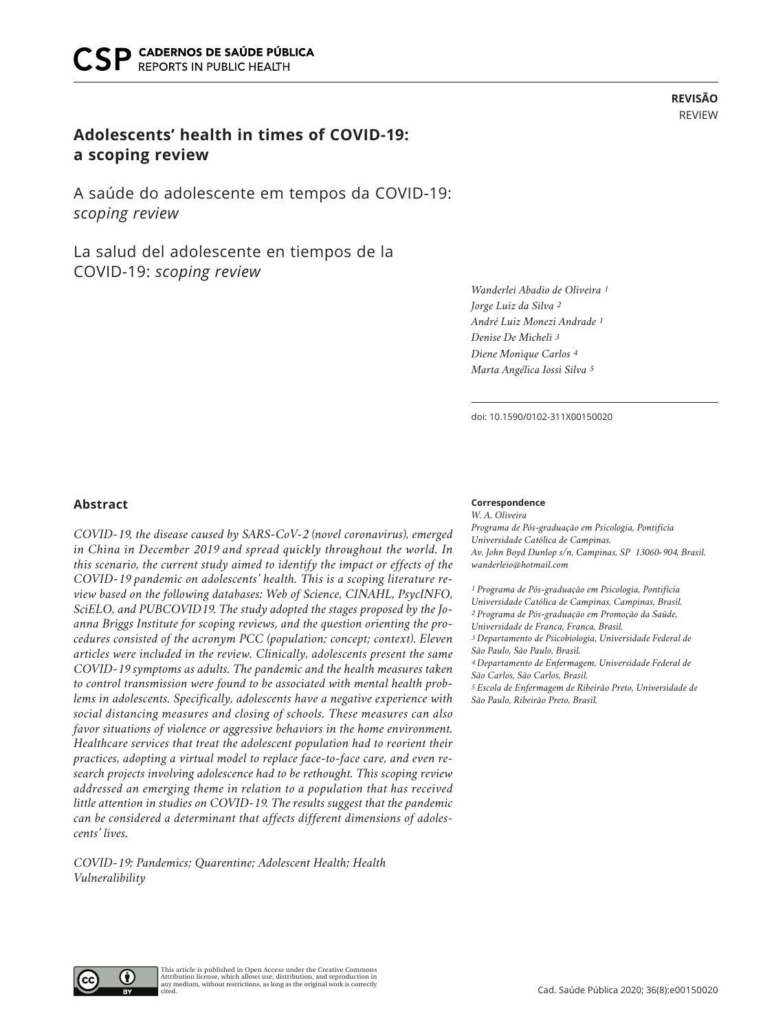# **Adolescents' health in times of COVID-19: a scoping review**

A saúde do adolescente em tempos da COVID-19: *scoping review*

La salud del adolescente en tiempos de la COVID-19: *scoping review*

*Wanderlei Abadio de Oliveira 1 Jorge Luiz da Silva 2 André Luiz Monezi Andrade 1 Denise De Micheli 3 Diene Monique Carlos 4 Marta Angélica Iossi Silva 5*

doi: 10.1590/0102-311X00150020

### **Abstract**

*COVID-19, the disease caused by SARS-CoV-2 (novel coronavirus), emerged in China in December 2019 and spread quickly throughout the world. In this scenario, the current study aimed to identify the impact or effects of the COVID-19 pandemic on adolescents' health. This is a scoping literature review based on the following databases: Web of Science, CINAHL, PsycINFO, SciELO, and PUBCOVID19. The study adopted the stages proposed by the Joanna Briggs Institute for scoping reviews, and the question orienting the procedures consisted of the acronym PCC (population; concept; context). Eleven articles were included in the review. Clinically, adolescents present the same COVID-19 symptoms as adults. The pandemic and the health measures taken to control transmission were found to be associated with mental health problems in adolescents. Specifically, adolescents have a negative experience with social distancing measures and closing of schools. These measures can also favor situations of violence or aggressive behaviors in the home environment. Healthcare services that treat the adolescent population had to reorient their practices, adopting a virtual model to replace face-to-face care, and even research projects involving adolescence had to be rethought. This scoping review addressed an emerging theme in relation to a population that has received little attention in studies on COVID-19. The results suggest that the pandemic can be considered a determinant that affects different dimensions of adolescents' lives.* 

*COVID-19; Pandemics; Quarentine; Adolescent Health; Health Vulneralibility*

#### **Correspondence**

*W. A. Oliveira Programa de Pós-graduação em Psicologia, Pontifícia Universidade Católica de Campinas. Av. John Boyd Dunlop s/n, Campinas, SP 13060-904, Brasil. wanderleio@hotmail.com*

*1 Programa de Pós-graduação em Psicologia, Pontifícia Universidade Católica de Campinas, Campinas, Brasil. 2 Programa de Pós-graduação em Promoção da Saúde, Universidade de Franca, Franca, Brasil. 3 Departamento de Psicobiologia, Universidade Federal de São Paulo, São Paulo, Brasil. 4 Departamento de Enfermagem, Universidade Federal de São Carlos, São Carlos, Brasil. 5 Escola de Enfermagem de Ribeirão Preto, Universidade de São Paulo, Ribeirão Preto, Brasil.*

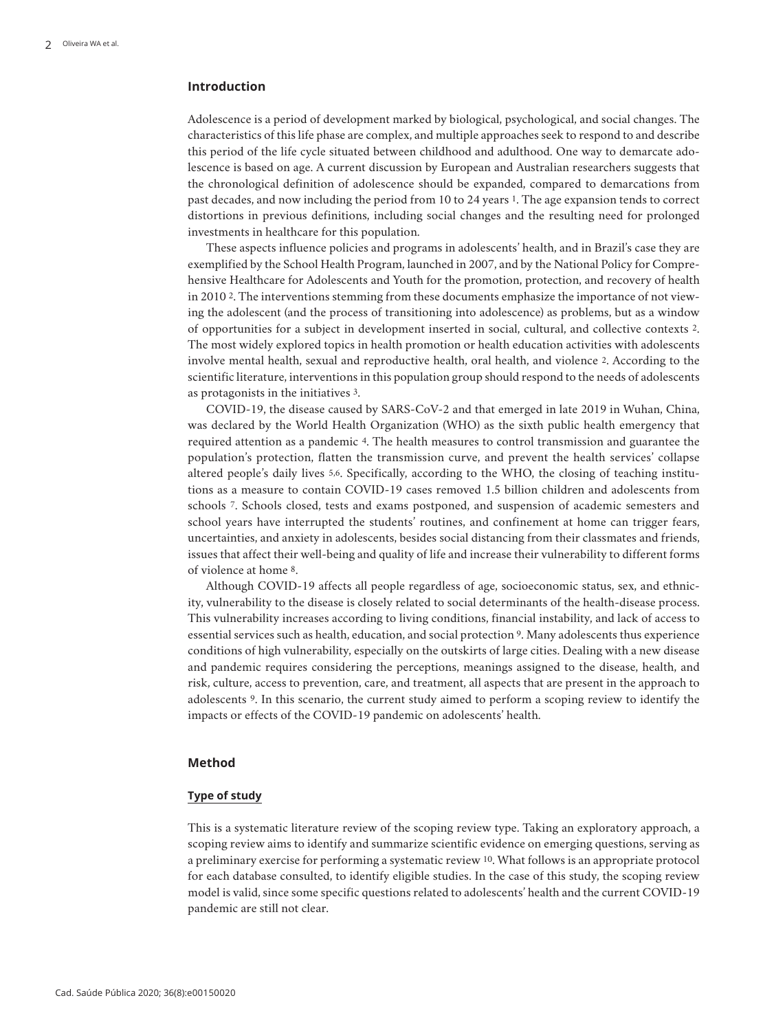## **Introduction**

Adolescence is a period of development marked by biological, psychological, and social changes. The characteristics of this life phase are complex, and multiple approaches seek to respond to and describe this period of the life cycle situated between childhood and adulthood. One way to demarcate adolescence is based on age. A current discussion by European and Australian researchers suggests that the chronological definition of adolescence should be expanded, compared to demarcations from past decades, and now including the period from 10 to 24 years 1. The age expansion tends to correct distortions in previous definitions, including social changes and the resulting need for prolonged investments in healthcare for this population.

These aspects influence policies and programs in adolescents' health, and in Brazil's case they are exemplified by the School Health Program, launched in 2007, and by the National Policy for Comprehensive Healthcare for Adolescents and Youth for the promotion, protection, and recovery of health in 2010 2. The interventions stemming from these documents emphasize the importance of not viewing the adolescent (and the process of transitioning into adolescence) as problems, but as a window of opportunities for a subject in development inserted in social, cultural, and collective contexts 2. The most widely explored topics in health promotion or health education activities with adolescents involve mental health, sexual and reproductive health, oral health, and violence 2. According to the scientific literature, interventions in this population group should respond to the needs of adolescents as protagonists in the initiatives 3.

COVID-19, the disease caused by SARS-CoV-2 and that emerged in late 2019 in Wuhan, China, was declared by the World Health Organization (WHO) as the sixth public health emergency that required attention as a pandemic 4. The health measures to control transmission and guarantee the population's protection, flatten the transmission curve, and prevent the health services' collapse altered people's daily lives 5,6. Specifically, according to the WHO, the closing of teaching institutions as a measure to contain COVID-19 cases removed 1.5 billion children and adolescents from schools 7. Schools closed, tests and exams postponed, and suspension of academic semesters and school years have interrupted the students' routines, and confinement at home can trigger fears, uncertainties, and anxiety in adolescents, besides social distancing from their classmates and friends, issues that affect their well-being and quality of life and increase their vulnerability to different forms of violence at home 8.

Although COVID-19 affects all people regardless of age, socioeconomic status, sex, and ethnicity, vulnerability to the disease is closely related to social determinants of the health-disease process. This vulnerability increases according to living conditions, financial instability, and lack of access to essential services such as health, education, and social protection 9. Many adolescents thus experience conditions of high vulnerability, especially on the outskirts of large cities. Dealing with a new disease and pandemic requires considering the perceptions, meanings assigned to the disease, health, and risk, culture, access to prevention, care, and treatment, all aspects that are present in the approach to adolescents 9. In this scenario, the current study aimed to perform a scoping review to identify the impacts or effects of the COVID-19 pandemic on adolescents' health.

### **Method**

#### **Type of study**

This is a systematic literature review of the scoping review type. Taking an exploratory approach, a scoping review aims to identify and summarize scientific evidence on emerging questions, serving as a preliminary exercise for performing a systematic review 10. What follows is an appropriate protocol for each database consulted, to identify eligible studies. In the case of this study, the scoping review model is valid, since some specific questions related to adolescents' health and the current COVID-19 pandemic are still not clear.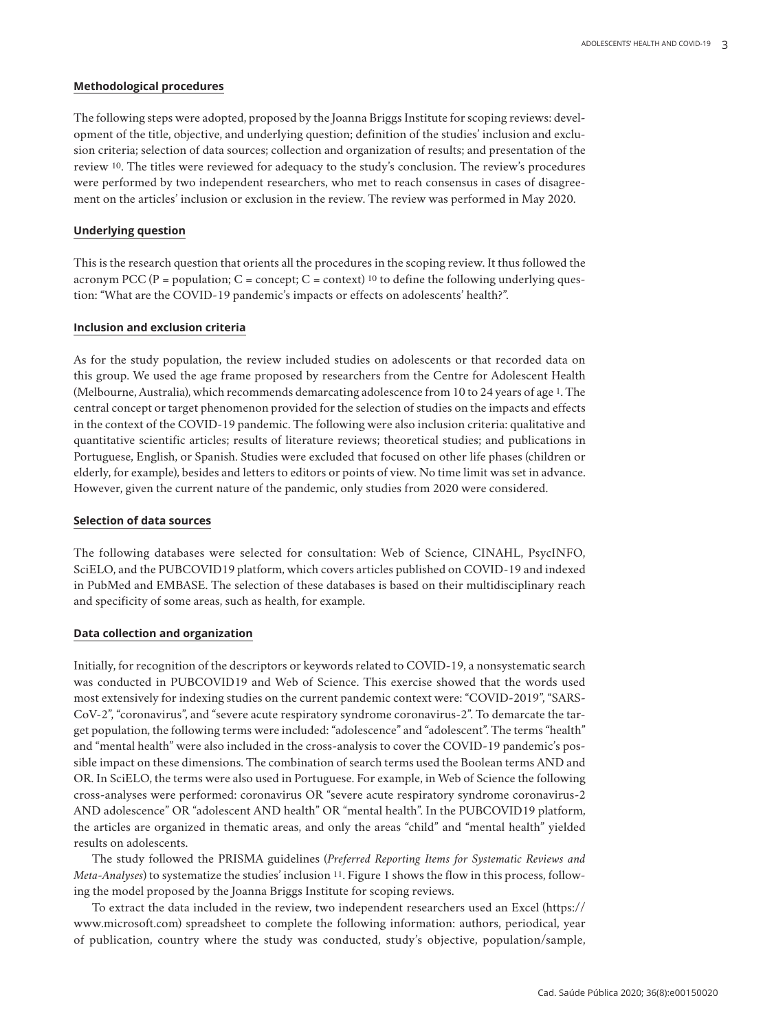### **Methodological procedures**

The following steps were adopted, proposed by the Joanna Briggs Institute for scoping reviews: development of the title, objective, and underlying question; definition of the studies' inclusion and exclusion criteria; selection of data sources; collection and organization of results; and presentation of the review 10. The titles were reviewed for adequacy to the study's conclusion. The review's procedures were performed by two independent researchers, who met to reach consensus in cases of disagreement on the articles' inclusion or exclusion in the review. The review was performed in May 2020.

#### **Underlying question**

This is the research question that orients all the procedures in the scoping review. It thus followed the acronym PCC (P = population; C = concept; C = context) <sup>10</sup> to define the following underlying question: "What are the COVID-19 pandemic's impacts or effects on adolescents' health?".

#### **Inclusion and exclusion criteria**

As for the study population, the review included studies on adolescents or that recorded data on this group. We used the age frame proposed by researchers from the Centre for Adolescent Health (Melbourne, Australia), which recommends demarcating adolescence from 10 to 24 years of age 1. The central concept or target phenomenon provided for the selection of studies on the impacts and effects in the context of the COVID-19 pandemic. The following were also inclusion criteria: qualitative and quantitative scientific articles; results of literature reviews; theoretical studies; and publications in Portuguese, English, or Spanish. Studies were excluded that focused on other life phases (children or elderly, for example), besides and letters to editors or points of view. No time limit was set in advance. However, given the current nature of the pandemic, only studies from 2020 were considered.

#### **Selection of data sources**

The following databases were selected for consultation: Web of Science, CINAHL, PsycINFO, SciELO, and the PUBCOVID19 platform, which covers articles published on COVID-19 and indexed in PubMed and EMBASE. The selection of these databases is based on their multidisciplinary reach and specificity of some areas, such as health, for example.

### **Data collection and organization**

Initially, for recognition of the descriptors or keywords related to COVID-19, a nonsystematic search was conducted in PUBCOVID19 and Web of Science. This exercise showed that the words used most extensively for indexing studies on the current pandemic context were: "COVID-2019", "SARS-CoV-2", "coronavirus", and "severe acute respiratory syndrome coronavirus-2". To demarcate the target population, the following terms were included: "adolescence" and "adolescent". The terms "health" and "mental health" were also included in the cross-analysis to cover the COVID-19 pandemic's possible impact on these dimensions. The combination of search terms used the Boolean terms AND and OR. In SciELO, the terms were also used in Portuguese. For example, in Web of Science the following cross-analyses were performed: coronavirus OR "severe acute respiratory syndrome coronavirus-2 AND adolescence" OR "adolescent AND health" OR "mental health". In the PUBCOVID19 platform, the articles are organized in thematic areas, and only the areas "child" and "mental health" yielded results on adolescents.

The study followed the PRISMA guidelines (*Preferred Reporting Items for Systematic Reviews and Meta-Analyses*) to systematize the studies' inclusion 11. Figure 1 shows the flow in this process, following the model proposed by the Joanna Briggs Institute for scoping reviews.

To extract the data included in the review, two independent researchers used an Excel (https:// www.microsoft.com) spreadsheet to complete the following information: authors, periodical, year of publication, country where the study was conducted, study's objective, population/sample,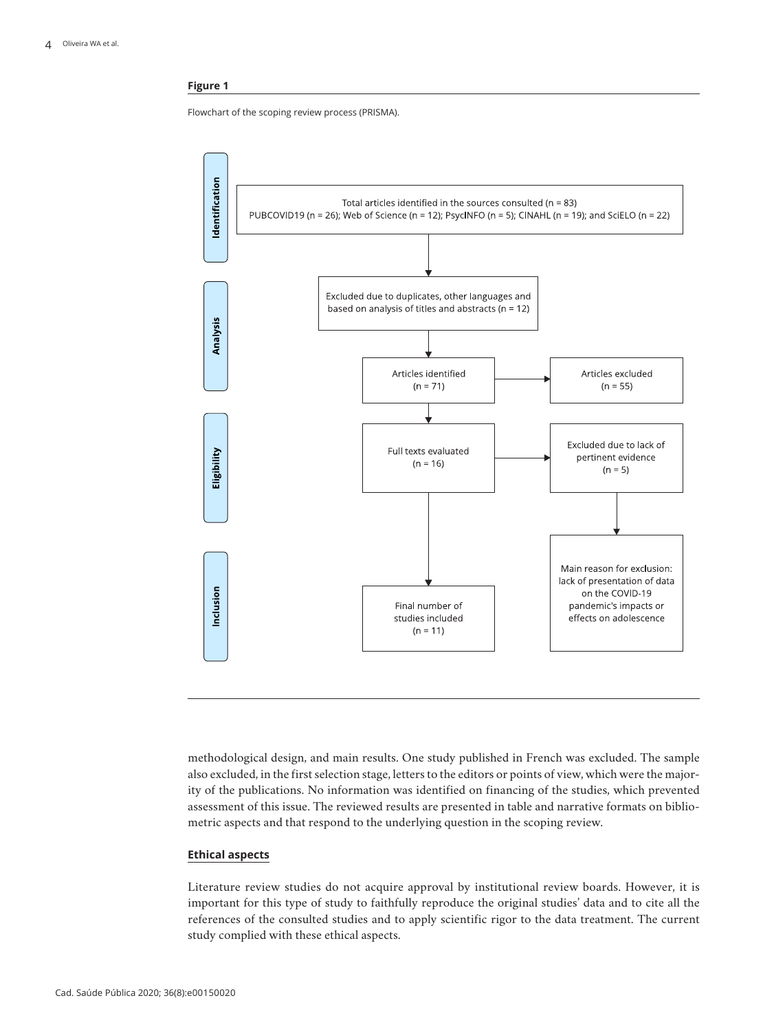### **Figure 1**

Flowchart of the scoping review process (PRISMA).



methodological design, and main results. One study published in French was excluded. The sample also excluded, in the first selection stage, letters to the editors or points of view, which were the majority of the publications. No information was identified on financing of the studies, which prevented assessment of this issue. The reviewed results are presented in table and narrative formats on bibliometric aspects and that respond to the underlying question in the scoping review.

### **Ethical aspects**

Literature review studies do not acquire approval by institutional review boards. However, it is important for this type of study to faithfully reproduce the original studies' data and to cite all the references of the consulted studies and to apply scientific rigor to the data treatment. The current study complied with these ethical aspects.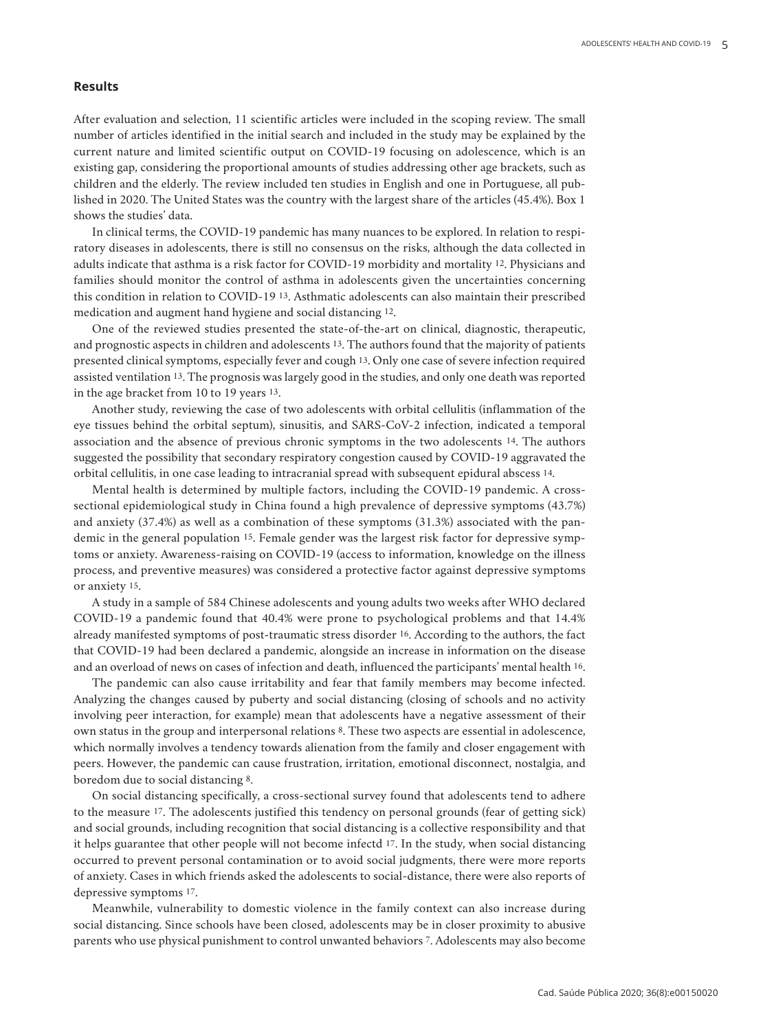### **Results**

After evaluation and selection, 11 scientific articles were included in the scoping review. The small number of articles identified in the initial search and included in the study may be explained by the current nature and limited scientific output on COVID-19 focusing on adolescence, which is an existing gap, considering the proportional amounts of studies addressing other age brackets, such as children and the elderly. The review included ten studies in English and one in Portuguese, all published in 2020. The United States was the country with the largest share of the articles (45.4%). Box 1 shows the studies' data.

In clinical terms, the COVID-19 pandemic has many nuances to be explored. In relation to respiratory diseases in adolescents, there is still no consensus on the risks, although the data collected in adults indicate that asthma is a risk factor for COVID-19 morbidity and mortality 12. Physicians and families should monitor the control of asthma in adolescents given the uncertainties concerning this condition in relation to COVID-19 13. Asthmatic adolescents can also maintain their prescribed medication and augment hand hygiene and social distancing 12.

One of the reviewed studies presented the state-of-the-art on clinical, diagnostic, therapeutic, and prognostic aspects in children and adolescents 13. The authors found that the majority of patients presented clinical symptoms, especially fever and cough 13. Only one case of severe infection required assisted ventilation 13. The prognosis was largely good in the studies, and only one death was reported in the age bracket from 10 to 19 years 13.

Another study, reviewing the case of two adolescents with orbital cellulitis (inflammation of the eye tissues behind the orbital septum), sinusitis, and SARS-CoV-2 infection, indicated a temporal association and the absence of previous chronic symptoms in the two adolescents 14. The authors suggested the possibility that secondary respiratory congestion caused by COVID-19 aggravated the orbital cellulitis, in one case leading to intracranial spread with subsequent epidural abscess 14.

Mental health is determined by multiple factors, including the COVID-19 pandemic. A crosssectional epidemiological study in China found a high prevalence of depressive symptoms (43.7%) and anxiety (37.4%) as well as a combination of these symptoms (31.3%) associated with the pandemic in the general population 15. Female gender was the largest risk factor for depressive symptoms or anxiety. Awareness-raising on COVID-19 (access to information, knowledge on the illness process, and preventive measures) was considered a protective factor against depressive symptoms or anxiety 15.

A study in a sample of 584 Chinese adolescents and young adults two weeks after WHO declared COVID-19 a pandemic found that 40.4% were prone to psychological problems and that 14.4% already manifested symptoms of post-traumatic stress disorder 16. According to the authors, the fact that COVID-19 had been declared a pandemic, alongside an increase in information on the disease and an overload of news on cases of infection and death, influenced the participants' mental health 16.

The pandemic can also cause irritability and fear that family members may become infected. Analyzing the changes caused by puberty and social distancing (closing of schools and no activity involving peer interaction, for example) mean that adolescents have a negative assessment of their own status in the group and interpersonal relations 8. These two aspects are essential in adolescence, which normally involves a tendency towards alienation from the family and closer engagement with peers. However, the pandemic can cause frustration, irritation, emotional disconnect, nostalgia, and boredom due to social distancing 8.

On social distancing specifically, a cross-sectional survey found that adolescents tend to adhere to the measure 17. The adolescents justified this tendency on personal grounds (fear of getting sick) and social grounds, including recognition that social distancing is a collective responsibility and that it helps guarantee that other people will not become infectd 17. In the study, when social distancing occurred to prevent personal contamination or to avoid social judgments, there were more reports of anxiety. Cases in which friends asked the adolescents to social-distance, there were also reports of depressive symptoms 17.

Meanwhile, vulnerability to domestic violence in the family context can also increase during social distancing. Since schools have been closed, adolescents may be in closer proximity to abusive parents who use physical punishment to control unwanted behaviors 7. Adolescents may also become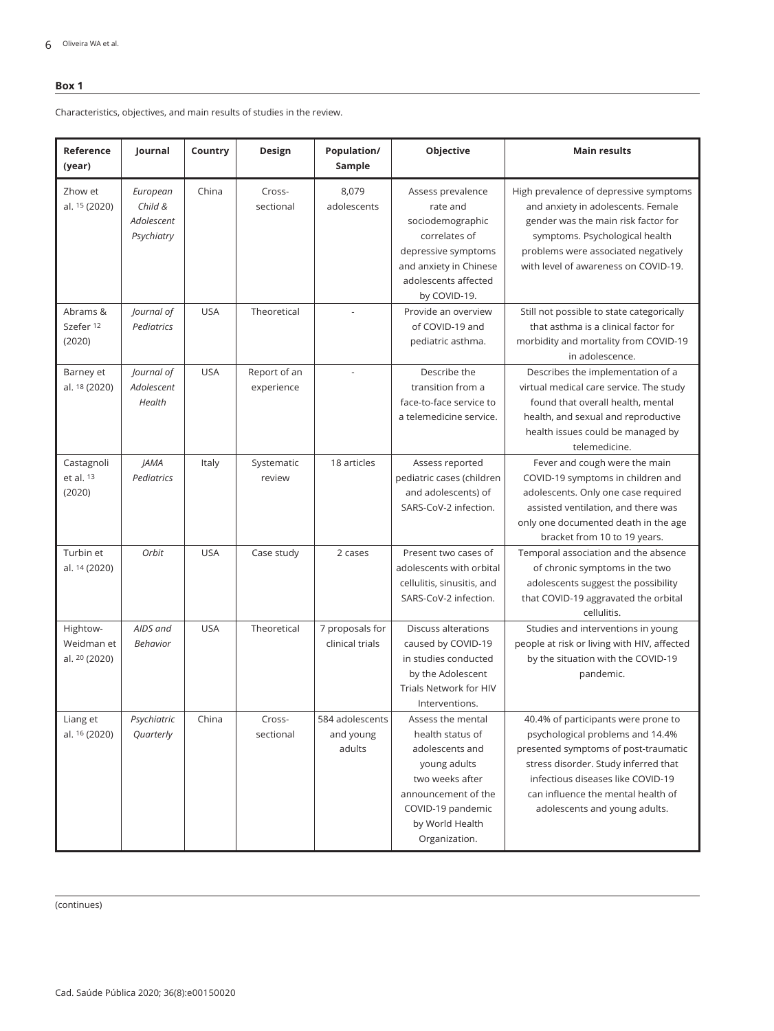### **Box 1**

Characteristics, objectives, and main results of studies in the review.

| Reference<br>(year)                     | Journal                                         | Country    | Design                     | Population/<br>Sample                  | Objective                                                                                                                                                                   | <b>Main results</b>                                                                                                                                                                                                                                                 |
|-----------------------------------------|-------------------------------------------------|------------|----------------------------|----------------------------------------|-----------------------------------------------------------------------------------------------------------------------------------------------------------------------------|---------------------------------------------------------------------------------------------------------------------------------------------------------------------------------------------------------------------------------------------------------------------|
| Zhow et<br>al. 15 (2020)                | European<br>Child &<br>Adolescent<br>Psychiatry | China      | Cross-<br>sectional        | 8,079<br>adolescents                   | Assess prevalence<br>rate and<br>sociodemographic<br>correlates of<br>depressive symptoms<br>and anxiety in Chinese<br>adolescents affected<br>by COVID-19.                 | High prevalence of depressive symptoms<br>and anxiety in adolescents. Female<br>gender was the main risk factor for<br>symptoms. Psychological health<br>problems were associated negatively<br>with level of awareness on COVID-19.                                |
| Abrams &<br>Szefer 12<br>(2020)         | Journal of<br>Pediatrics                        | <b>USA</b> | Theoretical                |                                        | Provide an overview<br>of COVID-19 and<br>pediatric asthma.                                                                                                                 | Still not possible to state categorically<br>that asthma is a clinical factor for<br>morbidity and mortality from COVID-19<br>in adolescence.                                                                                                                       |
| Barney et<br>al. 18 (2020)              | Journal of<br>Adolescent<br>Health              | <b>USA</b> | Report of an<br>experience | ÷,                                     | Describe the<br>transition from a<br>face-to-face service to<br>a telemedicine service.                                                                                     | Describes the implementation of a<br>virtual medical care service. The study<br>found that overall health, mental<br>health, and sexual and reproductive<br>health issues could be managed by<br>telemedicine.                                                      |
| Castagnoli<br>et al. $13$<br>(2020)     | <b>JAMA</b><br>Pediatrics                       | Italy      | Systematic<br>review       | 18 articles                            | Assess reported<br>pediatric cases (children<br>and adolescents) of<br>SARS-CoV-2 infection.                                                                                | Fever and cough were the main<br>COVID-19 symptoms in children and<br>adolescents. Only one case required<br>assisted ventilation, and there was<br>only one documented death in the age<br>bracket from 10 to 19 years.                                            |
| Turbin et<br>al. 14 (2020)              | Orbit                                           | <b>USA</b> | Case study                 | 2 cases                                | Present two cases of<br>adolescents with orbital<br>cellulitis, sinusitis, and<br>SARS-CoV-2 infection.                                                                     | Temporal association and the absence<br>of chronic symptoms in the two<br>adolescents suggest the possibility<br>that COVID-19 aggravated the orbital<br>cellulitis.                                                                                                |
| Hightow-<br>Weidman et<br>al. 20 (2020) | AIDS and<br><b>Behavior</b>                     | <b>USA</b> | Theoretical                | 7 proposals for<br>clinical trials     | Discuss alterations<br>caused by COVID-19<br>in studies conducted<br>by the Adolescent<br><b>Trials Network for HIV</b><br>Interventions.                                   | Studies and interventions in young<br>people at risk or living with HIV, affected<br>by the situation with the COVID-19<br>pandemic.                                                                                                                                |
| Liang et<br>al. 16 (2020)               | Psychiatric<br>Quarterly                        | China      | Cross-<br>sectional        | 584 adolescents<br>and young<br>adults | Assess the mental<br>health status of<br>adolescents and<br>young adults<br>two weeks after<br>announcement of the<br>COVID-19 pandemic<br>by World Health<br>Organization. | 40.4% of participants were prone to<br>psychological problems and 14.4%<br>presented symptoms of post-traumatic<br>stress disorder. Study inferred that<br>infectious diseases like COVID-19<br>can influence the mental health of<br>adolescents and young adults. |

(continues)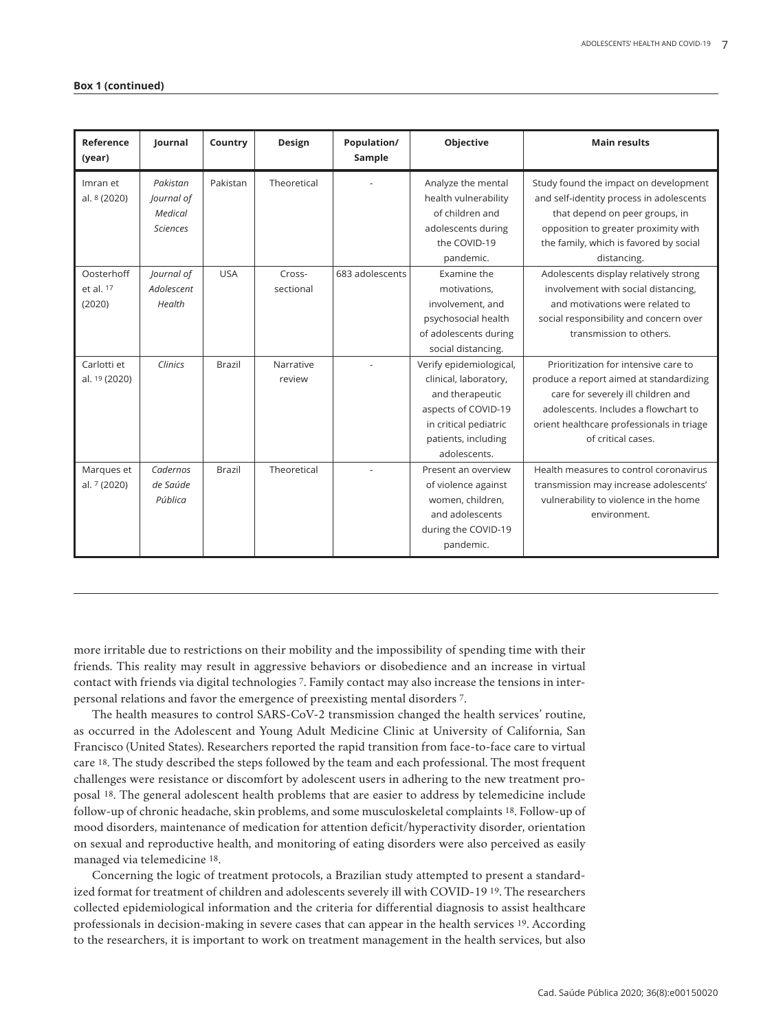| Reference<br>(year)               | Journal                                              | Country       | Design              | Population/<br>Sample | Objective                                                                                                                                                  | <b>Main results</b>                                                                                                                                                                                                              |
|-----------------------------------|------------------------------------------------------|---------------|---------------------|-----------------------|------------------------------------------------------------------------------------------------------------------------------------------------------------|----------------------------------------------------------------------------------------------------------------------------------------------------------------------------------------------------------------------------------|
| Imran et<br>al. 8 (2020)          | Pakistan<br>Journal of<br>Medical<br><b>Sciences</b> | Pakistan      | Theoretical         |                       | Analyze the mental<br>health vulnerability<br>of children and<br>adolescents during<br>the COVID-19<br>pandemic.                                           | Study found the impact on development<br>and self-identity process in adolescents<br>that depend on peer groups, in<br>opposition to greater proximity with<br>the family, which is favored by social<br>distancing.             |
| Oosterhoff<br>et al. 17<br>(2020) | Journal of<br>Adolescent<br>Health                   | <b>USA</b>    | Cross-<br>sectional | 683 adolescents       | Examine the<br>motivations,<br>involvement, and<br>psychosocial health<br>of adolescents during<br>social distancing.                                      | Adolescents display relatively strong<br>involvement with social distancing,<br>and motivations were related to<br>social responsibility and concern over<br>transmission to others.                                             |
| Carlotti et<br>al. 19 (2020)      | Clinics                                              | <b>Brazil</b> | Narrative<br>review |                       | Verify epidemiological,<br>clinical, laboratory,<br>and therapeutic<br>aspects of COVID-19<br>in critical pediatric<br>patients, including<br>adolescents. | Prioritization for intensive care to<br>produce a report aimed at standardizing<br>care for severely ill children and<br>adolescents. Includes a flowchart to<br>orient healthcare professionals in triage<br>of critical cases. |
| Marques et<br>al. 7 (2020)        | Cadernos<br>de Saúde<br>Pública                      | <b>Brazil</b> | Theoretical         |                       | Present an overview<br>of violence against<br>women, children,<br>and adolescents<br>during the COVID-19<br>pandemic.                                      | Health measures to control coronavirus<br>transmission may increase adolescents'<br>vulnerability to violence in the home<br>environment.                                                                                        |

more irritable due to restrictions on their mobility and the impossibility of spending time with their friends. This reality may result in aggressive behaviors or disobedience and an increase in virtual contact with friends via digital technologies 7. Family contact may also increase the tensions in interpersonal relations and favor the emergence of preexisting mental disorders 7.

The health measures to control SARS-CoV-2 transmission changed the health services' routine, as occurred in the Adolescent and Young Adult Medicine Clinic at University of California, San Francisco (United States). Researchers reported the rapid transition from face-to-face care to virtual care 18. The study described the steps followed by the team and each professional. The most frequent challenges were resistance or discomfort by adolescent users in adhering to the new treatment proposal 18. The general adolescent health problems that are easier to address by telemedicine include follow-up of chronic headache, skin problems, and some musculoskeletal complaints 18. Follow-up of mood disorders, maintenance of medication for attention deficit/hyperactivity disorder, orientation on sexual and reproductive health, and monitoring of eating disorders were also perceived as easily managed via telemedicine 18.

Concerning the logic of treatment protocols, a Brazilian study attempted to present a standardized format for treatment of children and adolescents severely ill with COVID-19 19. The researchers collected epidemiological information and the criteria for differential diagnosis to assist healthcare professionals in decision-making in severe cases that can appear in the health services 19. According to the researchers, it is important to work on treatment management in the health services, but also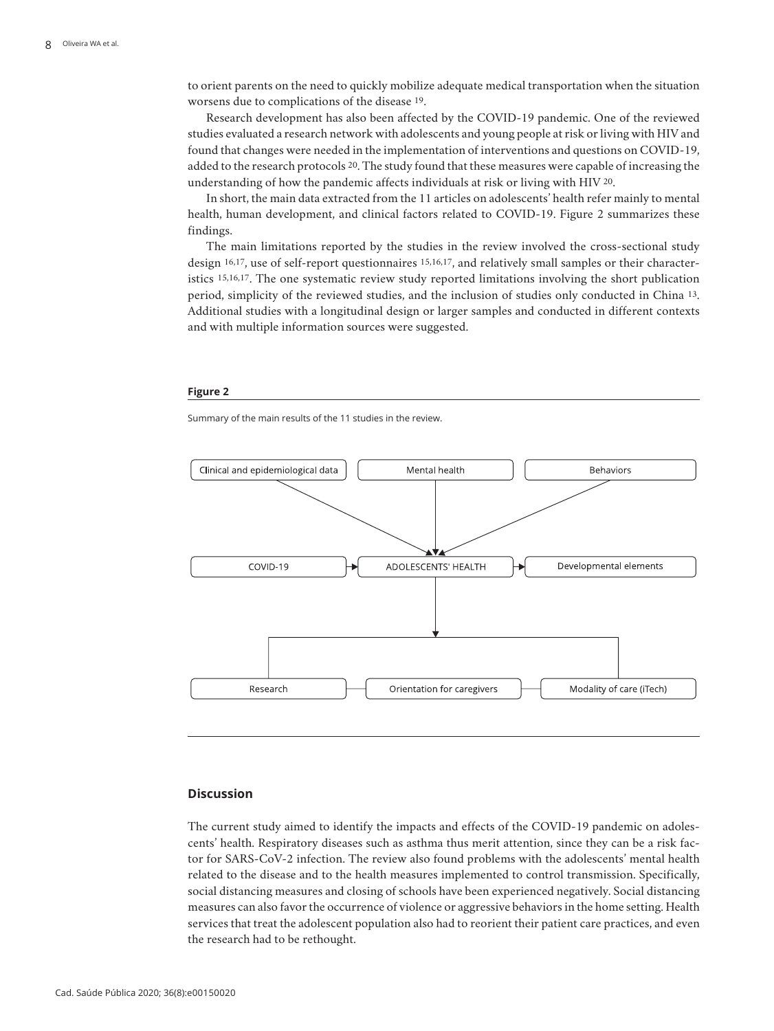to orient parents on the need to quickly mobilize adequate medical transportation when the situation worsens due to complications of the disease 19.

Research development has also been affected by the COVID-19 pandemic. One of the reviewed studies evaluated a research network with adolescents and young people at risk or living with HIV and found that changes were needed in the implementation of interventions and questions on COVID-19, added to the research protocols 20. The study found that these measures were capable of increasing the understanding of how the pandemic affects individuals at risk or living with HIV 20.

In short, the main data extracted from the 11 articles on adolescents' health refer mainly to mental health, human development, and clinical factors related to COVID-19. Figure 2 summarizes these findings.

The main limitations reported by the studies in the review involved the cross-sectional study design 16,17, use of self-report questionnaires 15,16,17, and relatively small samples or their characteristics 15,16,17. The one systematic review study reported limitations involving the short publication period, simplicity of the reviewed studies, and the inclusion of studies only conducted in China 13. Additional studies with a longitudinal design or larger samples and conducted in different contexts and with multiple information sources were suggested.

#### **Figure 2**

Summary of the main results of the 11 studies in the review.



### **Discussion**

The current study aimed to identify the impacts and effects of the COVID-19 pandemic on adolescents' health. Respiratory diseases such as asthma thus merit attention, since they can be a risk factor for SARS-CoV-2 infection. The review also found problems with the adolescents' mental health related to the disease and to the health measures implemented to control transmission. Specifically, social distancing measures and closing of schools have been experienced negatively. Social distancing measures can also favor the occurrence of violence or aggressive behaviors in the home setting. Health services that treat the adolescent population also had to reorient their patient care practices, and even the research had to be rethought.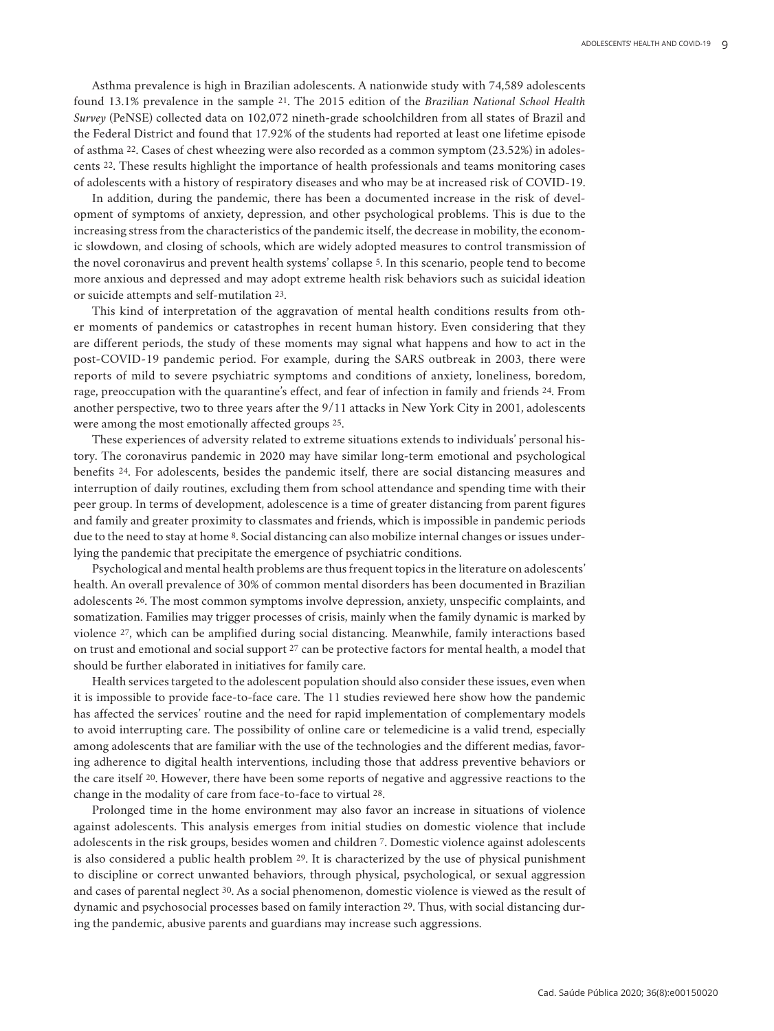Asthma prevalence is high in Brazilian adolescents. A nationwide study with 74,589 adolescents found 13.1% prevalence in the sample 21. The 2015 edition of the *Brazilian National School Health Survey* (PeNSE) collected data on 102,072 nineth-grade schoolchildren from all states of Brazil and the Federal District and found that 17.92% of the students had reported at least one lifetime episode of asthma 22. Cases of chest wheezing were also recorded as a common symptom (23.52%) in adolescents 22. These results highlight the importance of health professionals and teams monitoring cases of adolescents with a history of respiratory diseases and who may be at increased risk of COVID-19.

In addition, during the pandemic, there has been a documented increase in the risk of development of symptoms of anxiety, depression, and other psychological problems. This is due to the increasing stress from the characteristics of the pandemic itself, the decrease in mobility, the economic slowdown, and closing of schools, which are widely adopted measures to control transmission of the novel coronavirus and prevent health systems' collapse 5. In this scenario, people tend to become more anxious and depressed and may adopt extreme health risk behaviors such as suicidal ideation or suicide attempts and self-mutilation 23.

This kind of interpretation of the aggravation of mental health conditions results from other moments of pandemics or catastrophes in recent human history. Even considering that they are different periods, the study of these moments may signal what happens and how to act in the post-COVID-19 pandemic period. For example, during the SARS outbreak in 2003, there were reports of mild to severe psychiatric symptoms and conditions of anxiety, loneliness, boredom, rage, preoccupation with the quarantine's effect, and fear of infection in family and friends 24. From another perspective, two to three years after the 9/11 attacks in New York City in 2001, adolescents were among the most emotionally affected groups 25.

These experiences of adversity related to extreme situations extends to individuals' personal history. The coronavirus pandemic in 2020 may have similar long-term emotional and psychological benefits 24. For adolescents, besides the pandemic itself, there are social distancing measures and interruption of daily routines, excluding them from school attendance and spending time with their peer group. In terms of development, adolescence is a time of greater distancing from parent figures and family and greater proximity to classmates and friends, which is impossible in pandemic periods due to the need to stay at home 8. Social distancing can also mobilize internal changes or issues underlying the pandemic that precipitate the emergence of psychiatric conditions.

Psychological and mental health problems are thus frequent topics in the literature on adolescents' health. An overall prevalence of 30% of common mental disorders has been documented in Brazilian adolescents 26. The most common symptoms involve depression, anxiety, unspecific complaints, and somatization. Families may trigger processes of crisis, mainly when the family dynamic is marked by violence 27, which can be amplified during social distancing. Meanwhile, family interactions based on trust and emotional and social support 27 can be protective factors for mental health, a model that should be further elaborated in initiatives for family care.

Health services targeted to the adolescent population should also consider these issues, even when it is impossible to provide face-to-face care. The 11 studies reviewed here show how the pandemic has affected the services' routine and the need for rapid implementation of complementary models to avoid interrupting care. The possibility of online care or telemedicine is a valid trend, especially among adolescents that are familiar with the use of the technologies and the different medias, favoring adherence to digital health interventions, including those that address preventive behaviors or the care itself 20. However, there have been some reports of negative and aggressive reactions to the change in the modality of care from face-to-face to virtual 28.

Prolonged time in the home environment may also favor an increase in situations of violence against adolescents. This analysis emerges from initial studies on domestic violence that include adolescents in the risk groups, besides women and children 7. Domestic violence against adolescents is also considered a public health problem 29. It is characterized by the use of physical punishment to discipline or correct unwanted behaviors, through physical, psychological, or sexual aggression and cases of parental neglect 30. As a social phenomenon, domestic violence is viewed as the result of dynamic and psychosocial processes based on family interaction 29. Thus, with social distancing during the pandemic, abusive parents and guardians may increase such aggressions.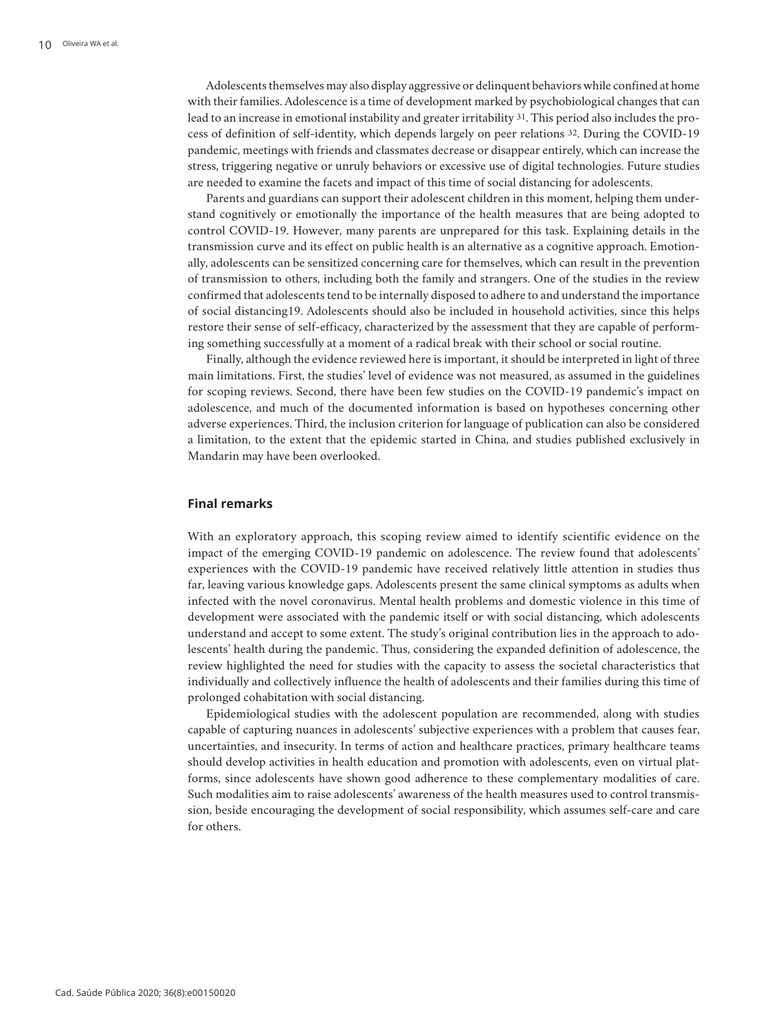Adolescents themselves may also display aggressive or delinquent behaviors while confined at home with their families. Adolescence is a time of development marked by psychobiological changes that can lead to an increase in emotional instability and greater irritability 31. This period also includes the process of definition of self-identity, which depends largely on peer relations 32. During the COVID-19 pandemic, meetings with friends and classmates decrease or disappear entirely, which can increase the stress, triggering negative or unruly behaviors or excessive use of digital technologies. Future studies are needed to examine the facets and impact of this time of social distancing for adolescents.

Parents and guardians can support their adolescent children in this moment, helping them understand cognitively or emotionally the importance of the health measures that are being adopted to control COVID-19. However, many parents are unprepared for this task. Explaining details in the transmission curve and its effect on public health is an alternative as a cognitive approach. Emotionally, adolescents can be sensitized concerning care for themselves, which can result in the prevention of transmission to others, including both the family and strangers. One of the studies in the review confirmed that adolescents tend to be internally disposed to adhere to and understand the importance of social distancing19. Adolescents should also be included in household activities, since this helps restore their sense of self-efficacy, characterized by the assessment that they are capable of performing something successfully at a moment of a radical break with their school or social routine.

Finally, although the evidence reviewed here is important, it should be interpreted in light of three main limitations. First, the studies' level of evidence was not measured, as assumed in the guidelines for scoping reviews. Second, there have been few studies on the COVID-19 pandemic's impact on adolescence, and much of the documented information is based on hypotheses concerning other adverse experiences. Third, the inclusion criterion for language of publication can also be considered a limitation, to the extent that the epidemic started in China, and studies published exclusively in Mandarin may have been overlooked.

### **Final remarks**

With an exploratory approach, this scoping review aimed to identify scientific evidence on the impact of the emerging COVID-19 pandemic on adolescence. The review found that adolescents' experiences with the COVID-19 pandemic have received relatively little attention in studies thus far, leaving various knowledge gaps. Adolescents present the same clinical symptoms as adults when infected with the novel coronavirus. Mental health problems and domestic violence in this time of development were associated with the pandemic itself or with social distancing, which adolescents understand and accept to some extent. The study's original contribution lies in the approach to adolescents' health during the pandemic. Thus, considering the expanded definition of adolescence, the review highlighted the need for studies with the capacity to assess the societal characteristics that individually and collectively influence the health of adolescents and their families during this time of prolonged cohabitation with social distancing.

Epidemiological studies with the adolescent population are recommended, along with studies capable of capturing nuances in adolescents' subjective experiences with a problem that causes fear, uncertainties, and insecurity. In terms of action and healthcare practices, primary healthcare teams should develop activities in health education and promotion with adolescents, even on virtual platforms, since adolescents have shown good adherence to these complementary modalities of care. Such modalities aim to raise adolescents' awareness of the health measures used to control transmission, beside encouraging the development of social responsibility, which assumes self-care and care for others.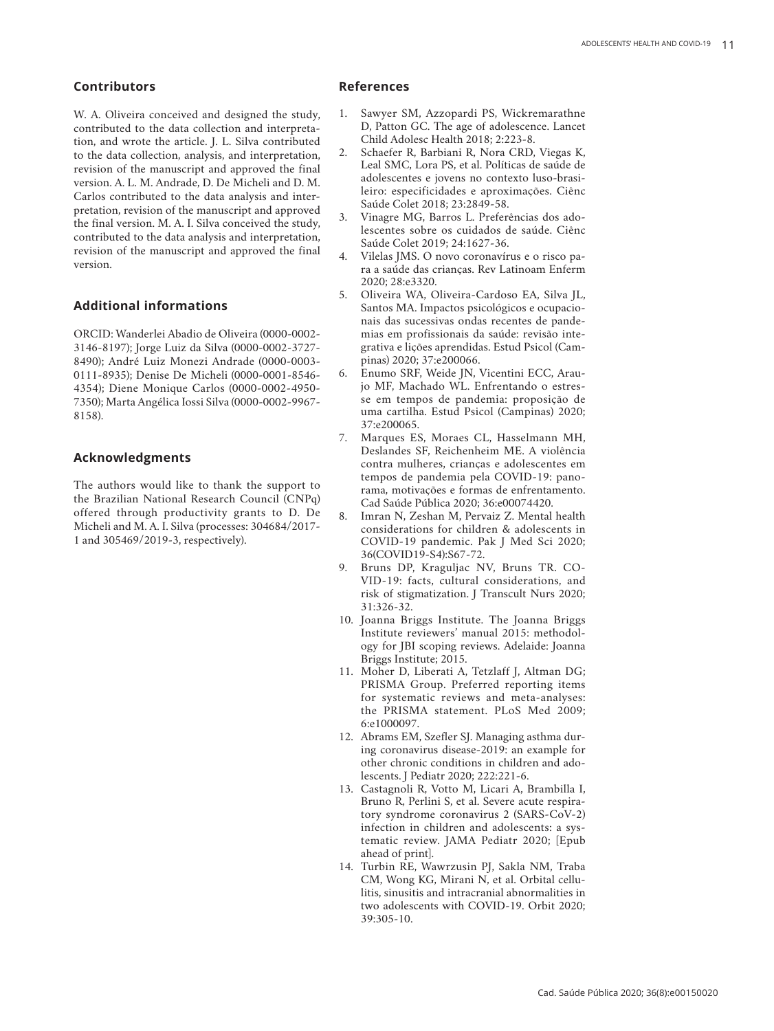# **Contributors**

W. A. Oliveira conceived and designed the study, contributed to the data collection and interpreta tion, and wrote the article. J. L. Silva contributed to the data collection, analysis, and interpretation, revision of the manuscript and approved the final version. A. L. M. Andrade, D. De Micheli and D. M. Carlos contributed to the data analysis and inter pretation, revision of the manuscript and approved the final version. M. A. I. Silva conceived the study, contributed to the data analysis and interpretation, revision of the manuscript and approved the final version.

# **Additional informations**

ORCID: Wanderlei Abadio de Oliveira (0000-0002- 3146-8197); Jorge Luiz da Silva (0000-0002-3727- 8490); André Luiz Monezi Andrade (0000-0003- 0111-8935); Denise De Micheli (0000-0001-8546- 4354); Diene Monique Carlos (0000-0002-4950- 7350); Marta Angélica Iossi Silva (0000-0002-9967- 8158).

### **Acknowledgments**

The authors would like to thank the support to the Brazilian National Research Council (CNPq) offered through productivity grants to D. De Micheli and M. A. I. Silva (processes: 304684/2017- 1 and 305469/2019-3, respectively).

### **References**

- 1. Sawyer SM, Azzopardi PS, Wickremarathne D, Patton GC. The age of adolescence. Lancet Child Adolesc Health 2018; 2:223-8.
- 2. Schaefer R, Barbiani R, Nora CRD, Viegas K, Leal SMC, Lora PS, et al. Políticas de saúde de adolescentes e jovens no contexto luso-brasi leiro: especificidades e aproximações. Ciênc Saúde Colet 2018; 23:2849-58.
- 3. Vinagre MG, Barros L. Preferências dos ado lescentes sobre os cuidados de saúde. Ciênc Saúde Colet 2019; 24:1627-36.
- 4. Vilelas JMS. O novo coronavírus e o risco pa ra a saúde das crianças. Rev Latinoam Enferm 2020; 28:e3320.
- 5. Oliveira WA, Oliveira-Cardoso EA, Silva JL, Santos MA. Impactos psicológicos e ocupacio nais das sucessivas ondas recentes de pande mias em profissionais da saúde: revisão inte grativa e lições aprendidas. Estud Psicol (Cam pinas) 2020; 37:e200066.
- 6. Enumo SRF, Weide JN, Vicentini ECC, Arau jo MF, Machado WL. Enfrentando o estres se em tempos de pandemia: proposição de uma cartilha. Estud Psicol (Campinas) 2020; 37:e200065.
- 7. Marques ES, Moraes CL, Hasselmann MH, Deslandes SF, Reichenheim ME. A violência contra mulheres, crianças e adolescentes em tempos de pandemia pela COVID-19: pano rama, motivações e formas de enfrentamento. Cad Saúde Pública 2020; 36:e00074420.
- 8. Imran N, Zeshan M, Pervaiz Z. Mental health considerations for children & adolescents in COVID-19 pandemic. Pak J Med Sci 2020; 36(COVID19-S4):S67-72.
- 9. Bruns DP, Kraguljac NV, Bruns TR. CO VID-19: facts, cultural considerations, and risk of stigmatization. J Transcult Nurs 2020; 31:326-32.
- 10. Joanna Briggs Institute. The Joanna Briggs Institute reviewers' manual 2015: methodol ogy for JBI scoping reviews. Adelaide: Joanna Briggs Institute; 2015.
- 11. Moher D, Liberati A, Tetzlaff J, Altman DG; PRISMA Group. Preferred reporting items for systematic reviews and meta-analyses: the PRISMA statement. PLoS Med 2009; 6:e1000097.
- 12. Abrams EM, Szefler SJ. Managing asthma dur ing coronavirus disease-2019: an example for other chronic conditions in children and ado lescents. J Pediatr 2020; 222:221-6.
- 13. Castagnoli R, Votto M, Licari A, Brambilla I, Bruno R, Perlini S, et al. Severe acute respira tory syndrome coronavirus 2 (SARS-CoV-2) infection in children and adolescents: a sys tematic review. JAMA Pediatr 2020; [Epub ahead of print].
- 14. Turbin RE, Wawrzusin PJ, Sakla NM, Traba CM, Wong KG, Mirani N, et al. Orbital cellu litis, sinusitis and intracranial abnormalities in two adolescents with COVID-19. Orbit 2020; 39:305-10.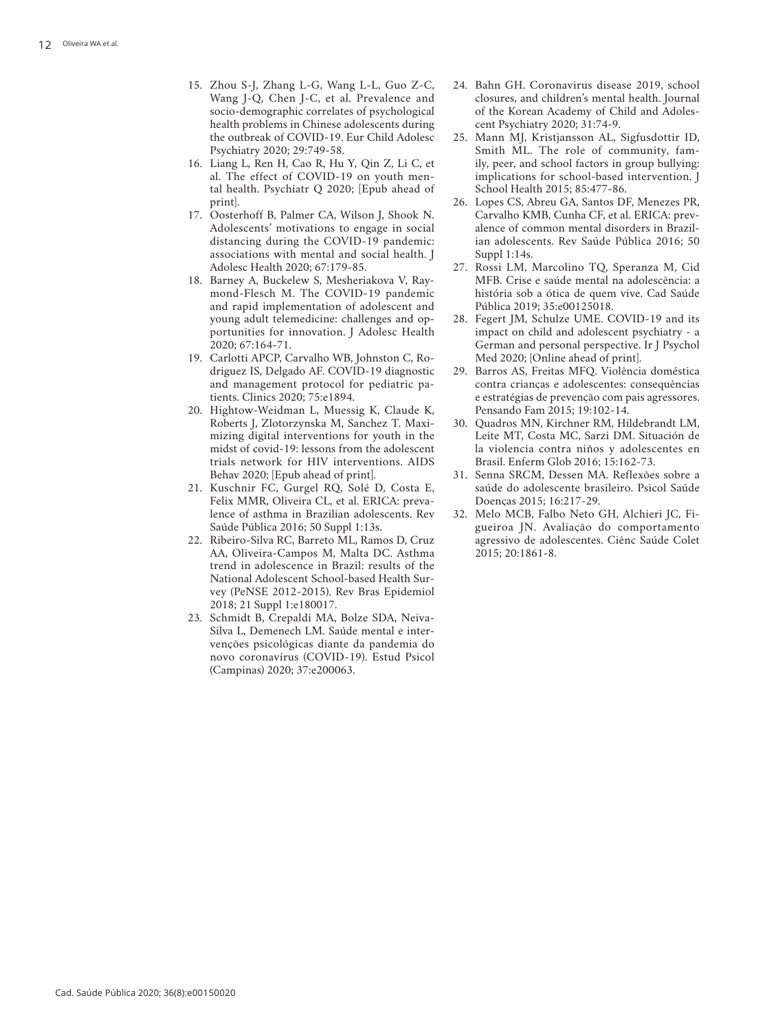- 15. Zhou S-J, Zhang L-G, Wang L-L, Guo Z-C, Wang J-Q, Chen J-C, et al. Prevalence and socio-demographic correlates of psychological health problems in Chinese adolescents during the outbreak of COVID-19. Eur Child Adolesc Psychiatry 2020; 29:749-58.
- 16. Liang L, Ren H, Cao R, Hu Y, Qin Z, Li C, et al. The effect of COVID-19 on youth men tal health. Psychiatr Q 2020; [Epub ahead of print].
- 17. Oosterhoff B, Palmer CA, Wilson J, Shook N. Adolescents' motivations to engage in social distancing during the COVID-19 pandemic: associations with mental and social health. J Adolesc Health 2020; 67:179-85.
- 18. Barney A, Buckelew S, Mesheriakova V, Ray mond-Flesch M. The COVID-19 pandemic and rapid implementation of adolescent and young adult telemedicine: challenges and op portunities for innovation. J Adolesc Health 2020; 67:164-71.
- 19. Carlotti APCP, Carvalho WB, Johnston C, Ro driguez IS, Delgado AF. COVID-19 diagnostic and management protocol for pediatric pa tients. Clinics 2020; 75:e1894.
- 20. Hightow-Weidman L, Muessig K, Claude K, Roberts J, Zlotorzynska M, Sanchez T. Maxi mizing digital interventions for youth in the midst of covid-19: lessons from the adolescent trials network for HIV interventions. AIDS Behav 2020; [Epub ahead of print].
- 21. Kuschnir FC, Gurgel RQ, Solé D, Costa E, Felix MMR, Oliveira CL, et al. ERICA: preva lence of asthma in Brazilian adolescents. Rev Saúde Pública 2016; 50 Suppl 1:13s.
- 22. Ribeiro-Silva RC, Barreto ML, Ramos D, Cruz AA, Oliveira-Campos M, Malta DC. Asthma trend in adolescence in Brazil: results of the National Adolescent School-based Health Sur vey (PeNSE 2012-2015). Rev Bras Epidemiol 2018; 21 Suppl 1:e180017.
- 23. Schmidt B, Crepaldi MA, Bolze SDA, Neiva-Silva L, Demenech LM. Saúde mental e intervenções psicológicas diante da pandemia do novo coronavírus (COVID-19). Estud Psicol (Campinas) 2020; 37:e200063.
- 24. Bahn GH. Coronavirus disease 2019, school closures, and children's mental health. Journal of the Korean Academy of Child and Adoles cent Psychiatry 2020; 31:74-9.
- 25. Mann MJ, Kristjansson AL, Sigfusdottir ID, Smith ML. The role of community, fam ily, peer, and school factors in group bullying: implications for school-based intervention. J School Health 2015; 85:477-86.
- 26. Lopes CS, Abreu GA, Santos DF, Menezes PR, Carvalho KMB, Cunha CF, et al. ERICA: prev alence of common mental disorders in Brazil ian adolescents. Rev Saúde Pública 2016; 50 Suppl 1:14s.
- 27. Rossi LM, Marcolino TQ, Speranza M, Cid MFB. Crise e saúde mental na adolescência: a história sob a ótica de quem vive. Cad Saúde Pública 2019; 35:e00125018.
- 28. Fegert JM, Schulze UME. COVID-19 and its impact on child and adolescent psychiatry - a German and personal perspective. Ir J Psychol Med 2020; [Online ahead of print].
- 29. Barros AS, Freitas MFQ. Violência doméstica contra crianças e adolescentes: consequências e estratégias de prevenção com pais agressores. Pensando Fam 2015; 19:102-14.
- 30. Quadros MN, Kirchner RM, Hildebrandt LM, Leite MT, Costa MC, Sarzi DM. Situación de la violencia contra niños y adolescentes en Brasil. Enferm Glob 2016; 15:162-73.
- 31. Senna SRCM, Dessen MA. Reflexões sobre a saúde do adolescente brasileiro. Psicol Saúde Doenças 2015; 16:217-29.
- 32. Melo MCB, Falbo Neto GH, Alchieri JC, Fi gueiroa JN. Avaliação do comportamento agressivo de adolescentes. Ciênc Saúde Colet 2015; 20:1861-8.